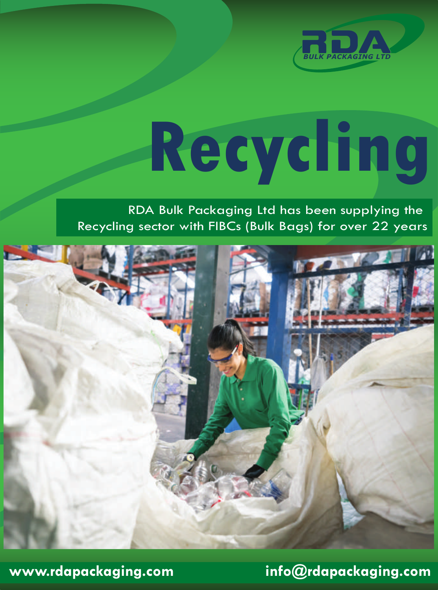

# **Recycling**

## RDA Bulk Packaging Ltd has been supplying the Recycling sector with FIBCs (Bulk Bags) for over 22 years



**www.rdapackaging.com info@rdapackaging.com**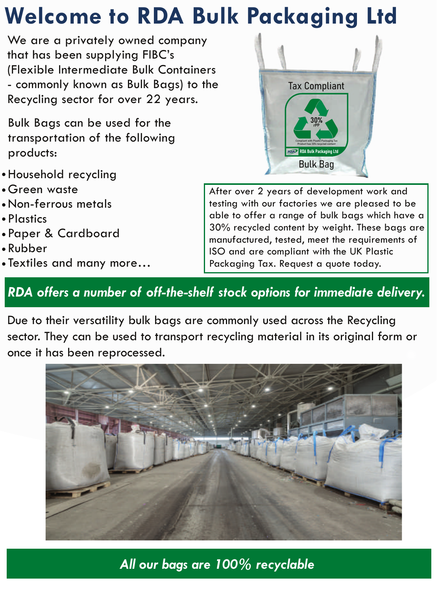## **Welcome to RDA Bulk Packaging Ltd**

We are a privately owned company that has been supplying FIBC's (Flexible Intermediate Bulk Containers - commonly known as Bulk Bags) to the Recycling sector for over 22 years.

Bulk Bags can be used for the transportation of the following products:

- Household recycling
- Green waste
- Non-ferrous metals
- Plastics
- Paper & Cardboard
- Rubber
- Textiles and many more…



After over 2 years of development work and testing with our factories we are pleased to be able to offer a range of bulk bags which have a 30% recycled content by weight. These bags are manufactured, tested, meet the requirements of ISO and are compliant with the UK Plastic Packaging Tax. Request a quote today.

## *RDA offers a number of off-the-shelf stock options for immediate delivery.*

Due to their versatility bulk bags are commonly used across the Recycling sector. They can be used to transport recycling material in its original form or once it has been reprocessed.



*All our bags are 100% recyclable*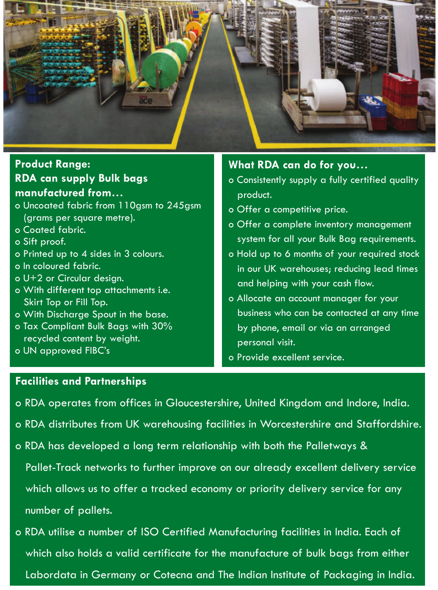

#### **RDA can supply Bulk bags manufactured from… Product Range:**

- o Uncoated fabric from 110asm to 245asm (grams per square metre).
- o Coated fabric.
- o Sift proof.
- o Printed up to 4 sides in 3 colours.
- o In coloured fabric.
- o U+2 or Circular design.
- o With different top attachments i.e. Skirt Top or Fill Top.
- o With Discharge Spout in the base.
- o Tax Compliant Bulk Bags with 30% recycled content by weight.
- o UN approved FIBC's

#### **What RDA can do for you…**

- o Consistently supply a fully certified quality product.
- o Offer a competitive price.
- o Offer a complete inventory management system for all your Bulk Bag requirements.
- o Hold up to 6 months of your required stock in our UK warehouses; reducing lead times and helping with your cash flow.
- o Allocate an account manager for your business who can be contacted at any time by phone, email or via an arranged personal visit.
- o Provide excellent service.

#### **Facilities and Partnerships**

- o RDA operates from offices in Gloucestershire, United Kingdom and Indore, India.
- o RDA distributes from UK warehousing facilities in Worcestershire and Staffordshire.
- o RDA has developed a long term relationship with both the Palletways &

 Pallet-Track networks to further improve on our already excellent delivery service which allows us to offer a tracked economy or priority delivery service for any number of pallets.

o RDA utilise a number of ISO Certified Manufacturing facilities in India. Each of which also holds a valid certificate for the manufacture of bulk bags from either Labordata in Germany or Cotecna and The Indian Institute of Packaging in India.